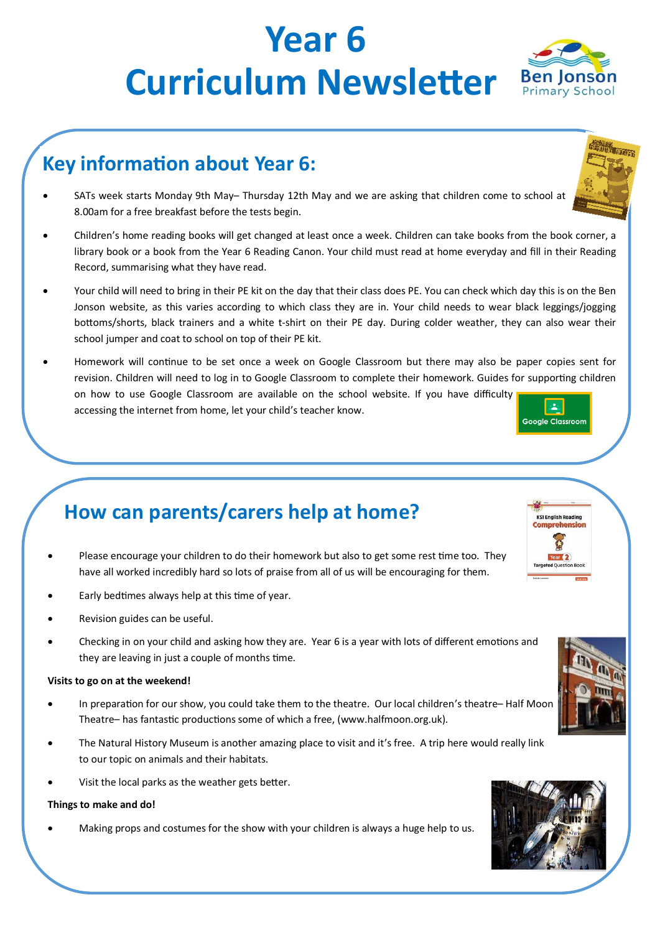# **Year 6 Curriculum Newsletter** Ben Jonson

## **Key information about Year 6:**

- SATs week starts Monday 9th May– Thursday 12th May and we are asking that children come to school at 8.00am for a free breakfast before the tests begin.
- Children's home reading books will get changed at least once a week. Children can take books from the book corner, a library book or a book from the Year 6 Reading Canon. Your child must read at home everyday and fill in their Reading Record, summarising what they have read.
- Your child will need to bring in their PE kit on the day that their class does PE. You can check which day this is on the Ben Jonson website, as this varies according to which class they are in. Your child needs to wear black leggings/jogging bottoms/shorts, black trainers and a white t-shirt on their PE day. During colder weather, they can also wear their school jumper and coat to school on top of their PE kit.
- Homework will continue to be set once a week on Google Classroom but there may also be paper copies sent for revision. Children will need to log in to Google Classroom to complete their homework. Guides for supporting children on how to use Google Classroom are available on the school website. If you have difficulty  $\mathbf{2}$ accessing the internet from home, let your child's teacher know. Google Classroom

### **How can parents/carers help at home?**

- Please encourage your children to do their homework but also to get some rest time too. They have all worked incredibly hard so lots of praise from all of us will be encouraging for them.
- Early bedtimes always help at this time of year.
- Revision guides can be useful.
- Checking in on your child and asking how they are. Year 6 is a year with lots of different emotions and they are leaving in just a couple of months time.

### **Visits to go on at the weekend!**

- In preparation for our show, you could take them to the theatre. Our local children's theatre-Half Moon Theatre– has fantastic productions some of which a free, (www.halfmoon.org.uk).
- The Natural History Museum is another amazing place to visit and it's free. A trip here would really link to our topic on animals and their habitats.
- Visit the local parks as the weather gets better.

### **Things to make and do!**

Making props and costumes for the show with your children is always a huge help to us.